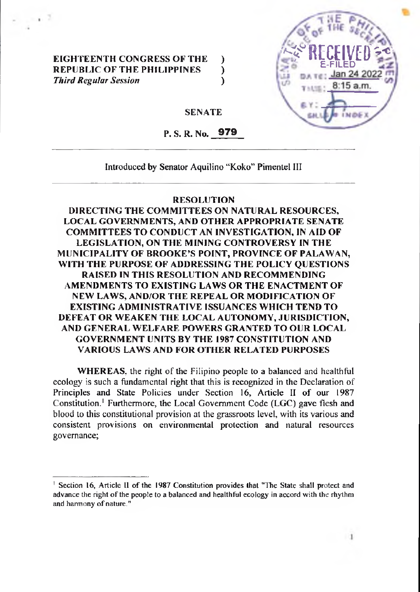## **EIGHTEENTH CONGRESS OF THE ) REPUBLIC OF THE PHILIPPINES )** *Third Regular Session* **)**



**SENATE**

**P. S. R. No. 979**

**Introduced by Senator Aquilino "Koko" Pimentel III**

## **RESOLUTION**

**DIRECTING THE COMMITTEES ON NATURAL RESOURCES, LOCAL GOVERNMENTS, AND OTHER APPROPRIATE SENATE COMMITTEES TO CONDUCT AN INVESTIGATION, IN AID OF LEGISLATION, ON THE MINING CONTROVERSY IN THE MUNICIPALITY OF BROOKE'S POINT, PROVINCE OF PALAWAN, WITH THE PURPOSE OF ADDRESSING THE POLICY QUESTIONS RAISED IN THIS RESOLUTION AND RECOMMENDING AMENDMENTS TO EXISTING LAWS OR THE ENACTMENT OF NEW LAWS, AND/OR THE REPEAL OR MODIFICATION OF EXISTING ADMINISTRATIVE ISSUANCES WHICH TEND TO DEFEAT OR WEAKEN THE LOCAL AUTONOMY, JURISDICTION, AND GENERAL WELFARE POWERS GRANTED TO OUR LOCAL GOVERNMENT UNITS BY THE 1987 CONSTITUTION AND VARIOUS LAWS AND FOR OTHER RELATED PURPOSES**

**WHEREAS**, the right of the Filipino people to a balanced and healthful **ecology is such a fundamental right that this is recognized in the Declaration of Principles and State Policies under Section 16, Article II of our 1987 Constitution.1 Furthermore, the Local Government Code (LGC) gave flesh and blood to this constitutional provision at the grassroots level, with its various and consistent provisions on environmental protection and natural resources governance;**

**<sup>1</sup> Section 16, Article II of the 1987 Constitution provides that "The State shall protect and advance the right ofthe people to a balanced and healthful ecology in accord with the rhythm** and harmony of nature."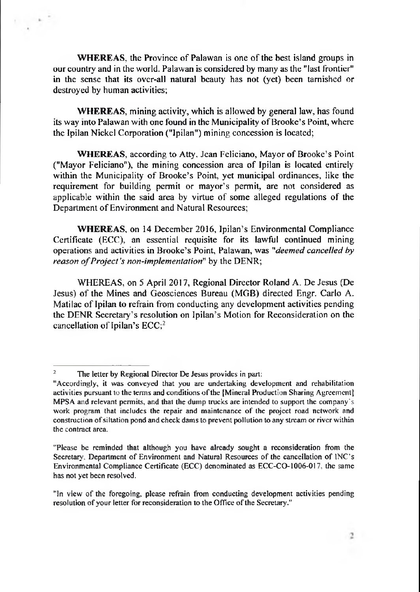**WHEREAS, the Province of Palawan is one of the best island groups in** our country and in the world. Palawan is considered by many as the "last frontier" in the sense that its over-all natural beauty has not (yet) been tarnished or destroyed by human activities;

**WHEREAS,** mining activity, which is allowed by general law, has found its way into Palawan with one found in the Municipality of Brooke's Point, where the Ipilan Nickel Corporation ("Ipilan") mining concession is located;

**WHEREAS, according to Atty. Jean Feliciano, Mayor of Brooke's Point** ("Mayor Feliciano"), the mining concession area of Ipilan is located entirely within the Municipality of Brooke's Point, yet municipal ordinances, like the requirement for building permit or mayor's permit, are not considered as applicable within the said area by virtue of some alleged regulations of the Department of Environment and Natural Resources;

**WHEREAS,** on 14 December 2016, Ipilan's Environmental Compliance Certificate (ECC), an essential requisite for its lawful continued mining operations and activities in Brooke's Point, Palawan, was *"deemed cancelled by reason of Project's non-implementation*" by the DENR;

WHEREAS, on 5 April 2017, Regional Director Roland A. De Jesus (De Jesus) of the Mines and Geosciences Bureau (MGB) directed Engr. Carlo A. Matilac of Ipilan to refrain from conducting any development activities pending the DENR Secretary's resolution on Ipilan's Motion for Reconsideration on the cancellation of Ipilan's  $ECC$ ;<sup>2</sup>

<sup>&</sup>lt;sup>2</sup> The letter by Regional Director De Jesus provides in part:

<sup>&</sup>quot;Accordingly, it was conveyed that you are undertaking development and rehabilitation activities pursuant to the terms and conditions of the [Mineral Production Sharing Agreement] MPSA and relevant permits, and that the dump trucks are intended to support the company's work program that includes the repair and maintenance of the project road network and construction of siltation pond and check dams to prevent pollution to any stream or river within the contract area.

<sup>&</sup>quot;Please be reminded that although you have already sought a reconsideration from the Secretary. Department of Environment and Natural Resources of the cancellation of INC's Environmental Compliance Certificate (ECC) denominated as ECC-CO-1006-017, the same has not yet been resolved.

<sup>&</sup>quot;In view of the foregoing, please refrain from conducting development activities pending resolution of your letter for reconsideration to the Office of the Secretary."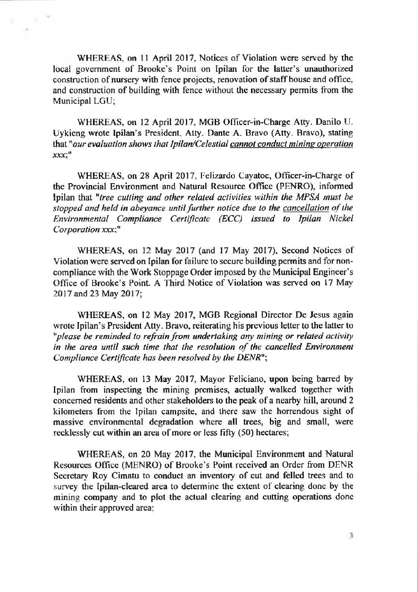WHEREAS, on <sup>11</sup> April 2017, Notices of Violation were served by the local government of Brooke's Point on Ipilan for the latter's unauthorized construction of nursery with fence projects, renovation of staff house and office, and construction of building with fence without the necessary permits from the Municipal LGU;

WHEREAS, on 12 April 2017, MGB Officer-in-Charge Atty. Danilo U. Uykieng wrote Ipilan's President, Atty. Dante A. Bravo (Atty. Bravo), stating that *"our evaluation shows that Ipilan/Celestial cannot conductminimoperation XXX'"*

WHEREAS, on 28 April 2017, Felizardo Cayatoc, Officer-in-Charge of the Provincial Environment and Natural Resource Office (PENRO), informed Ipilan that *"tree cutting and other related activities within the MPSA must he stopped and held in abeyance untilfurther notice due to the cancellation ofthe Environmental Compliance Certificate (ECC) issued to Ipilan Nickel Corporation xxx;"*

WHEREAS, on 12 May 2017 (and 17 May 2017), Second Notices of Violation were served on Ipilan for failure to secure building permits and for noncompliance with the Work Stoppage Order imposed by the Municipal Engineer's Office of Brooke's Point. A Third Notice of Violation was served on 17 May 2017 and 23 May 2017;

WHEREAS, on 12 May 2017, MGB Regional Director De Jesus again wrote Ipilan's President Atty. Bravo, reiterating his previous letter to the latter to *"please be reminded to refrainfrom undertaking any mining or related activity in the area until such time that the resolution of the cancelled Environment Compliance Certificate has been resolved by the DENR"',*

WHEREAS, on 13 May 2017, Mayor Feliciano, upon being barred by Ipilan from inspecting the mining premises, actually walked together with concerned residents and other stakeholders to the peak of a nearby hill, around 2 kilometers from the Ipilan campsite, and there saw the horrendous sight of massive environmental degradation where all trees, big and small, were recklessly cut within an area of more or less fifty (50) hectares;

WHEREAS, on 20 May 2017, the Municipal Environment and Natural Resources Office (MENRO) of Brooke's Point received an Order from DENR Secretary Roy Cimatu to conduct an inventory of cut and felled trees and to survey the Ipilan-cleared area to determine the extent of clearing done by the mining company and to plot the actual clearing and cutting operations done within their approved area;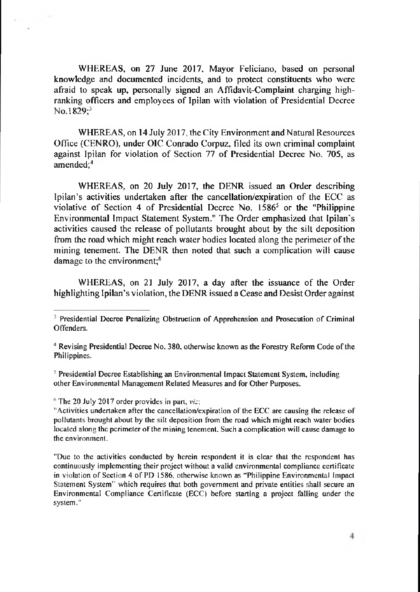WHEREAS, on 27 June 2017, Mayor Feliciano, based on personal knowledge and documented incidents, and to protect constituents who were afraid to speak up, personally signed an Affidavit-Complaint charging highranking officers and employees of Ipilan with violation of Presidential Decree No.1829;<sup>3</sup>

WHEREAS, on 14 July 2017, the City Environment and Natural Resources Office (CENRO), under OIC Conrado Corpuz, filed its own criminal complaint against Ipilan for violation of Section 77 of Presidential Decree No. 705, as amended;<sup>4</sup>

WHEREAS, on 20 July 2017, the DENR issued an Order describing Ipilan's activities undertaken after the cancellation/expiration of the ECC as violative of Section 4 of Presidential Decree No.  $1586<sup>5</sup>$  or the "Philippine" Environmental Impact Statement System." The Order emphasized that Ipilan's activities caused the release of pollutants brought about by the silt deposition from the road which might reach water bodies located along the perimeter of the mining tenement. The DENR then noted that such a complication will cause damage to the environment;<sup>6</sup>

WHEREAS, on 21 July 2017, a day after the issuance of the Order highlighting Ipilan's violation, the DENR issued a Cease and Desist Order against

 $5$  Presidential Decree Establishing an Environmental Impact Statement System, including other Environmental Management Related Measures and for Other Purposes.

 $6$  The 20 July 2017 order provides in part,  $viz$ .

<sup>&</sup>lt;sup>3</sup> Presidential Decree Penalizing Obstruction of Apprehension and Prosecution of Criminal Offenders.

<sup>&</sup>lt;sup>4</sup> Revising Presidential Decree No. 380, otherwise known as the Forestry Reform Code of the Philippines.

<sup>&</sup>quot;Activities undertaken after the cancellation/expiration of the ECC are causing the release of pollutants brought about by the silt deposition from the road which might reach water bodies located along the perimeter of the mining tenement. Such a complication will cause damage to the environment.

<sup>&</sup>quot;Due to the activities conducted by herein respondent it is clear that the respondent has continuously implementing their project without a valid environmental compliance certificate in violation of Section 4 of PD 1586, otherwise known as "Philippine Environmental Impact Statement System" which requires that both government and private entities shall secure an Environmental Compliance Certificate (ECC) before starting a project falling under the system."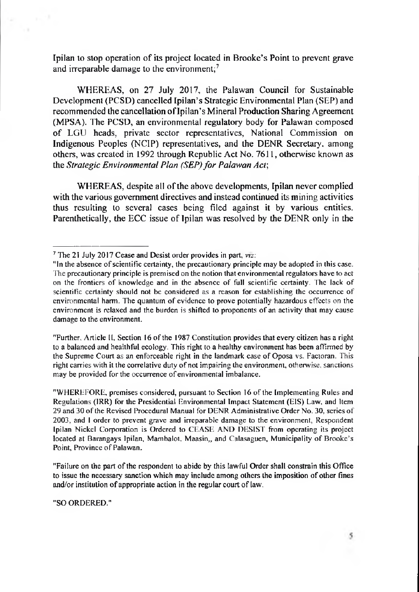Ipilan to stop operation of its project located in Brooke's Point to prevent grave and irreparable damage to the environment;<sup>7</sup>

WHEREAS, on 27 July 2017, the Palawan Council for Sustainable Development (PCSD) cancelled Ipilan's Strategic Environmental Plan (SEP) and recommended the cancellation of Ipilan's Mineral Production Sharing Agreement (MPSA). The PCSD, an environmental regulatory body for Palawan composed of LGU heads, private sector representatives. National Commission on Indigenous Peoples (NCIP) representatives, and the DENR Secretary, among others, was created in 1992 through Republic Act No. 7611, otherwise known as the *Strategic Environmental Plan (SEP)for Palawan Act\*

WHEREAS, despite all of the above developments, Ipilan never complied with the various government directives and instead continued its mining activities thus resulting to several cases being filed against it by various entities. Parenthetically, the ECC issue of Ipilan was resolved by the DENR only in the

"Further. Article II, Section 16 of the 1987 Constitution provides that every citizen has a right to a balanced and healthful ecology. This right to a healthy environment has been affirmed by the Supreme Court as an enforceable right in the landmark case of Oposa vs. Factoran. This right carries with it the correlative duty ofnot impairing the environment, otherwise, sanctions may be provided for the occurrence of environmental imbalance.

"WHEREFORE, premises considered, pursuant to Section 16 of the Implementing Rules and Regulations (IRR) for the Presidential Environmental Impact Statement (EIS) Law. and Item 29 and 30 ofthe Revised Procedural Manual for DENR Administrative Order No. 30, series of 2003, and <sup>1</sup> order to prevent grave and irreparable damage to the environment, Respondent Ipilan Nickel Corporation is Ordered to CEASE AND DESIST from operating its project located at Barangays Ipilan, Mambalot. Maasin,, and Calasaguen, Municipality of Brooke's Point, Province of Palawan.

"Failure on the part ofthe respondent to abide by this lawful Order shall consfrain this Office to issue the necessary sanction which may include among others the imposition of other fines and/or institution of appropriate action in the regular court of law.

"SO ORDERED."

<sup>7</sup> The 21 July 2017 Cease and Desist order provides in part, *viz:*

<sup>&</sup>quot;In the absence of scientific certainty, the precautionary principle may be adopted in this case. The precautionary principle is premised on the notion that environmental regulators have to act on the frontiers of knowledge and in the absence of full scientific certainty. The lack of scientific certainty should not be considered as a reason for establishing the occurrence of environmental harm. The quantum of evidence to prove potentially hazardous effects on the environment is relaxed and the burden is shifted to proponents of an activity that may cause damage to the environment.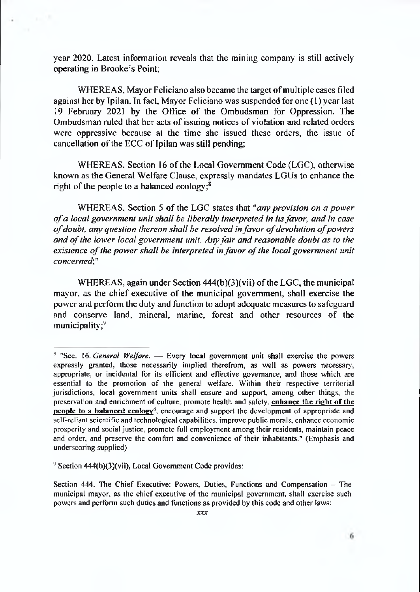year 2020. Latest information reveals that the mining company is still actively operating in Brooke's Point;

WHEREAS, Mayor Feliciano also became the target of multiple cases filed against her by Ipilan. In fact, Mayor Feliciano was suspended for one (1) year last 19 February 2021 by the Office of the Ombudsman for Oppression. The Ombudsman ruled that her acts of issuing notices of violation and related orders were oppressive because at the time she issued these orders, the issue of cancellation of the ECC of Ipilan was still pending;

WHEREAS, Section 16 of the Local Government Code (LGC), otherwise known as the General Welfare Clause, expressly mandates LGUs to enhance the right of the people to a balanced ecology; $8$ 

WHEREAS. Section 5 of the LGC states that "any provision on a power *ofa local government unit shall he liberally interpreted in itsfavor, and in case ofdoubt, any question thereon shall be resolved infavor ofdevolution ofpowers and ofthe lower local government unit. Anyfair and reasonable doubt as to the existence* of the *power* shall be interpreted in favor of the local government unit *concerned',"*

WHEREAS, again under Section  $444(b)(3)(vi)$  of the LGC, the municipal mayor, as the chief executive of the municipal government, shall exercise the power and perform the duty and function to adopt adequate measures to safeguard and conserve land, mineral, marine, forest and other resources of the municipality; $9$ 

<sup>8</sup> "Sec. 16. *General Welfare.* — Every local government unit shall exercise the powers expressly granted, those necessarily implied therefrom, as well as powers necessary, appropriate, or incidental for its efficient and effective governance, and those which are essential to the promotion of the general welfare. Within their respective territorial jurisdictions, local government units shall ensure and support, among other things, the preservation and enrichment of culture, promote health and safety, enhance the right of the people to a balanced ecology<sup>8</sup>, encourage and support the development of appropriate and self-reliant scientific and technological capabilities, improve public morals, enhance economic prosperity and social justice, promote full employment among their residents, maintain peace and order, and preserve the comfort and convenience of their inhabitants." (Emphasis and underscoring supplied)

 $9$  Section 444(b)(3)(vii), Local Government Code provides:

Section 444. The Chief Executive: Powers, Duties, Functions and Compensation  $-$  The municipal mayor, as the chief executive of the municipal government, shall exercise such powers and perform such duties and functions as provided by this code and other laws: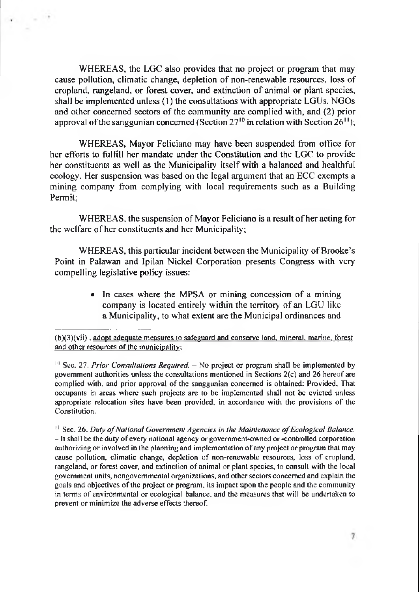WHEREAS, the LGC also provides that no project or program that may cause pollution, climatic change, depletion of non-renewable resources, loss of cropland, rangeland, or forest cover, and extinction of animal or plant species, shall be implemented unless (1) the consultations with appropriate LGUs, NGOs and other concerned sectors of the community are complied with, and (2) prior approval of the sanggunian concerned (Section  $27^{10}$  in relation with Section  $26^{11}$ );

WHEREAS, Mayor Feliciano may have been suspended from office for her efforts to fulfill her mandate under the Constitution and the LGC to provide her constituents as well as the Municipality itself with a balanced and healthful ecology. Her suspension was based on the legal argument that an ECC exempts a mining company from complying with local requirements such as a Building Permit;

WHEREAS, the suspension of Mayor Feliciano is a result of her acting for the welfare of her constituents and her Municipality;

WHEREAS, this particular incident between the Municipality of Brooke's Point in Palawan and Ipilan Nickel Corporation presents Congress with very compelling legislative policy issues:

> • In cases where the MPSA or mining concession of a mining company is located entirely within the territory of an LGU like a Municipality, to what extent are the Municipal ordinances and

 $(b)(3)(vii)$ . adopt adequate measures to safeguard and conserve land, mineral, marine, forest and other resources of the municipality;

 $\frac{10}{10}$  Sec. 27. *Prior Consultations Required.* – No project or program shall be implemented by government authorities unless the consultations mentioned in Sections 2(c) and 26 hereofare complied with, and prior approval of the sanggunian concerned is obtained: Provided, That occupants in areas where such projects are to be implemented shall not be evicted unless appropriate relocation sites have been provided, in accordance with the provisions of the Constitution.

<sup>&</sup>lt;sup>11</sup> Sec. 26. *Duty of National Government Agencies in the Maintenance of Ecological Balance. -*It shall be the duty ofevery national agency or government-owned or-controlled corporation authorizing or involved in the planning and implementation of any project or program that may cause pollution, climatic change, depletion of non-renewable resources, loss of cropland, rangeland, or forest cover, and extinction of animal or plant species, to consult with the local government units, nongovernmental organizations, and othersectors concerned and explain the goals and objectives of the project or program, its impact upon the people and the community in terms of environmental or ecological balance, and the measures that will be undertaken to prevent or minimize the adverse effects thereof